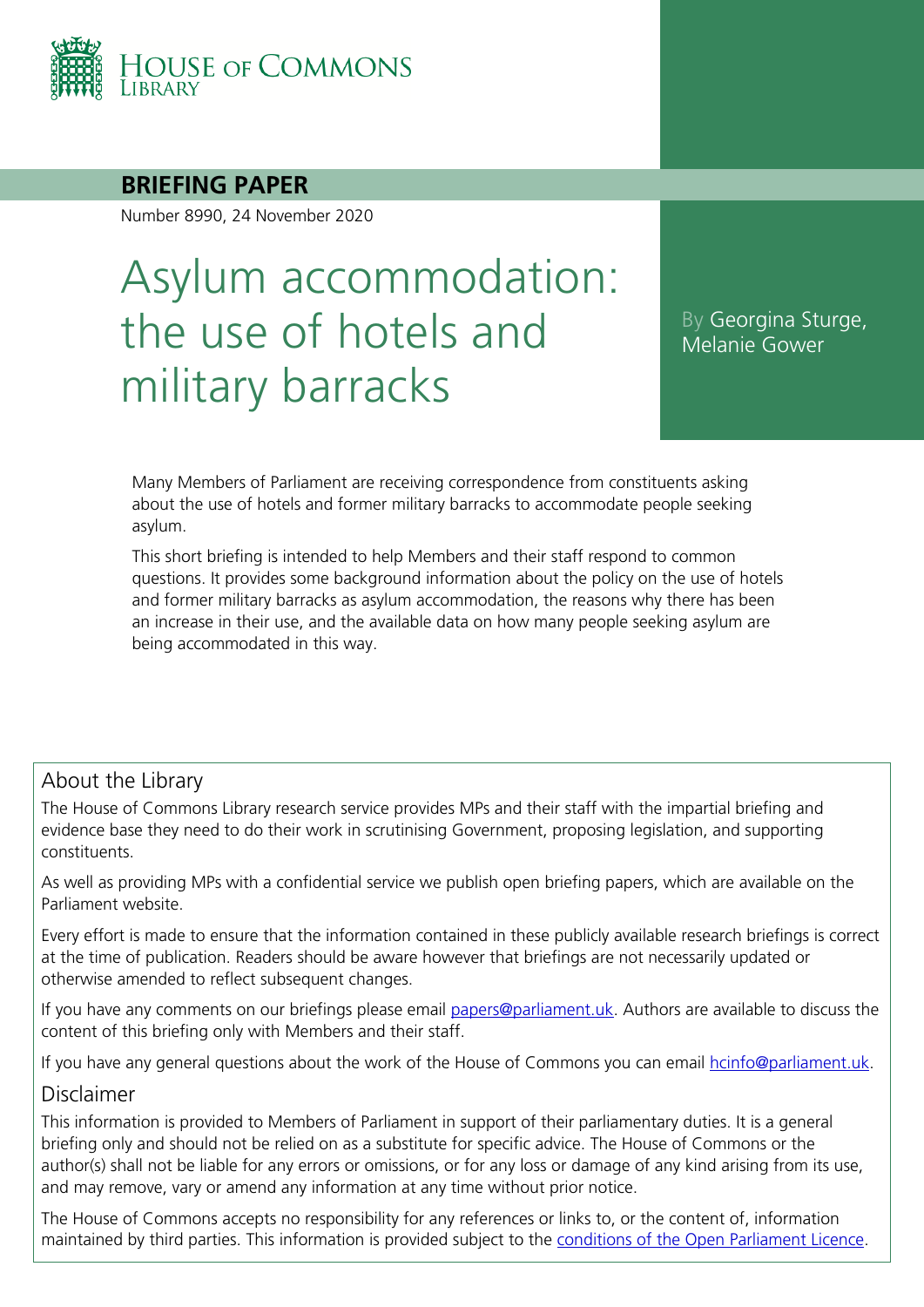

#### **BRIEFING PAPER**

Number 8990, 24 November 2020

# Asylum accommodation: the use of hotels and military barracks

By Georgina Sturge, Melanie Gower

Many Members of Parliament are receiving correspondence from constituents asking about the use of hotels and former military barracks to accommodate people seeking asylum.

This short briefing is intended to help Members and their staff respond to common questions. It provides some background information about the policy on the use of hotels and former military barracks as asylum accommodation, the reasons why there has been an increase in their use, and the available data on how many people seeking asylum are being accommodated in this way.

#### About the Library

The House of Commons Library research service provides MPs and their staff with the impartial briefing and evidence base they need to do their work in scrutinising Government, proposing legislation, and supporting constituents.

As well as providing MPs with a confidential service we publish open briefing papers, which are available on the Parliament website.

Every effort is made to ensure that the information contained in these publicly available research briefings is correct at the time of publication. Readers should be aware however that briefings are not necessarily updated or otherwise amended to reflect subsequent changes.

If you have any comments on our briefings please email [papers@parliament.uk.](mailto:papers@parliament.uk?subject=Briefings%20comment) Authors are available to discuss the content of this briefing only with Members and their staff.

If you have any general questions about the work of the House of Commons you can email [hcinfo@parliament.uk.](mailto:hcinfo@parliament.uk)

#### Disclaimer

This information is provided to Members of Parliament in support of their parliamentary duties. It is a general briefing only and should not be relied on as a substitute for specific advice. The House of Commons or the author(s) shall not be liable for any errors or omissions, or for any loss or damage of any kind arising from its use, and may remove, vary or amend any information at any time without prior notice.

The House of Commons accepts no responsibility for any references or links to, or the content of, information maintained by third parties. This information is provided subject to the [conditions of the Open Parliament Licence.](http://www.parliament.uk/site-information/copyright/open-parliament-licence/)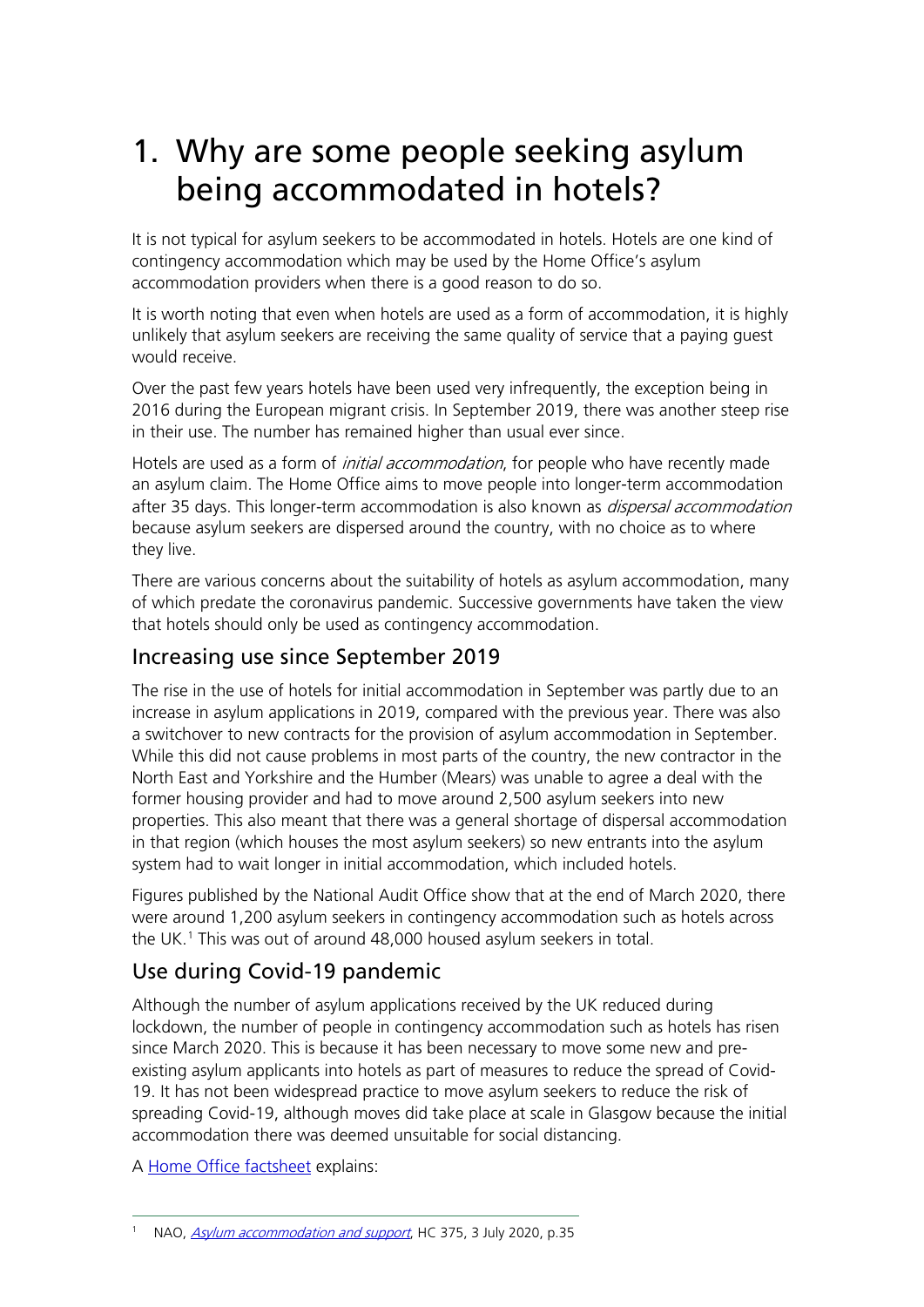## 1. Why are some people seeking asylum being accommodated in hotels?

It is not typical for asylum seekers to be accommodated in hotels. Hotels are one kind of contingency accommodation which may be used by the Home Office's asylum accommodation providers when there is a good reason to do so.

It is worth noting that even when hotels are used as a form of accommodation, it is highly unlikely that asylum seekers are receiving the same quality of service that a paying guest would receive.

Over the past few years hotels have been used very infrequently, the exception being in 2016 during the European migrant crisis. In September 2019, there was another steep rise in their use. The number has remained higher than usual ever since.

Hotels are used as a form of *initial accommodation*, for people who have recently made an asylum claim. The Home Office aims to move people into longer-term accommodation after 35 days. This longer-term accommodation is also known as *dispersal accommodation* because asylum seekers are dispersed around the country, with no choice as to where they live.

There are various concerns about the suitability of hotels as asylum accommodation, many of which predate the coronavirus pandemic. Successive governments have taken the view that hotels should only be used as contingency accommodation.

#### Increasing use since September 2019

The rise in the use of hotels for initial accommodation in September was partly due to an increase in asylum applications in 2019, compared with the previous year. There was also a switchover to new contracts for the provision of asylum accommodation in September. While this did not cause problems in most parts of the country, the new contractor in the North East and Yorkshire and the Humber (Mears) was unable to agree a deal with the former housing provider and had to move around 2,500 asylum seekers into new properties. This also meant that there was a general shortage of dispersal accommodation in that region (which houses the most asylum seekers) so new entrants into the asylum system had to wait longer in initial accommodation, which included hotels.

Figures published by the National Audit Office show that at the end of March 2020, there were around 1,200 asylum seekers in contingency accommodation such as hotels across the UK.<sup>[1](#page-1-0)</sup> This was out of around 48,000 housed asylum seekers in total.

### Use during Covid-19 pandemic

Although the number of asylum applications received by the UK reduced during lockdown, the number of people in contingency accommodation such as hotels has risen since March 2020. This is because it has been necessary to move some new and preexisting asylum applicants into hotels as part of measures to reduce the spread of Covid-19. It has not been widespread practice to move asylum seekers to reduce the risk of spreading Covid-19, although moves did take place at scale in Glasgow because the initial accommodation there was deemed unsuitable for social distancing.

A [Home Office factsheet](https://homeofficemedia.blog.gov.uk/2020/08/08/the-use-of-temporary-hotels-to-house-asylum-seekers-during-covid-19/) explains:

<span id="page-1-0"></span>NAO, [Asylum accommodation and](https://www.nao.org.uk/wp-content/uploads/2020/07/Asylum-accommodation-and-support.pdf#page=37) support, HC 375, 3 July 2020, p.35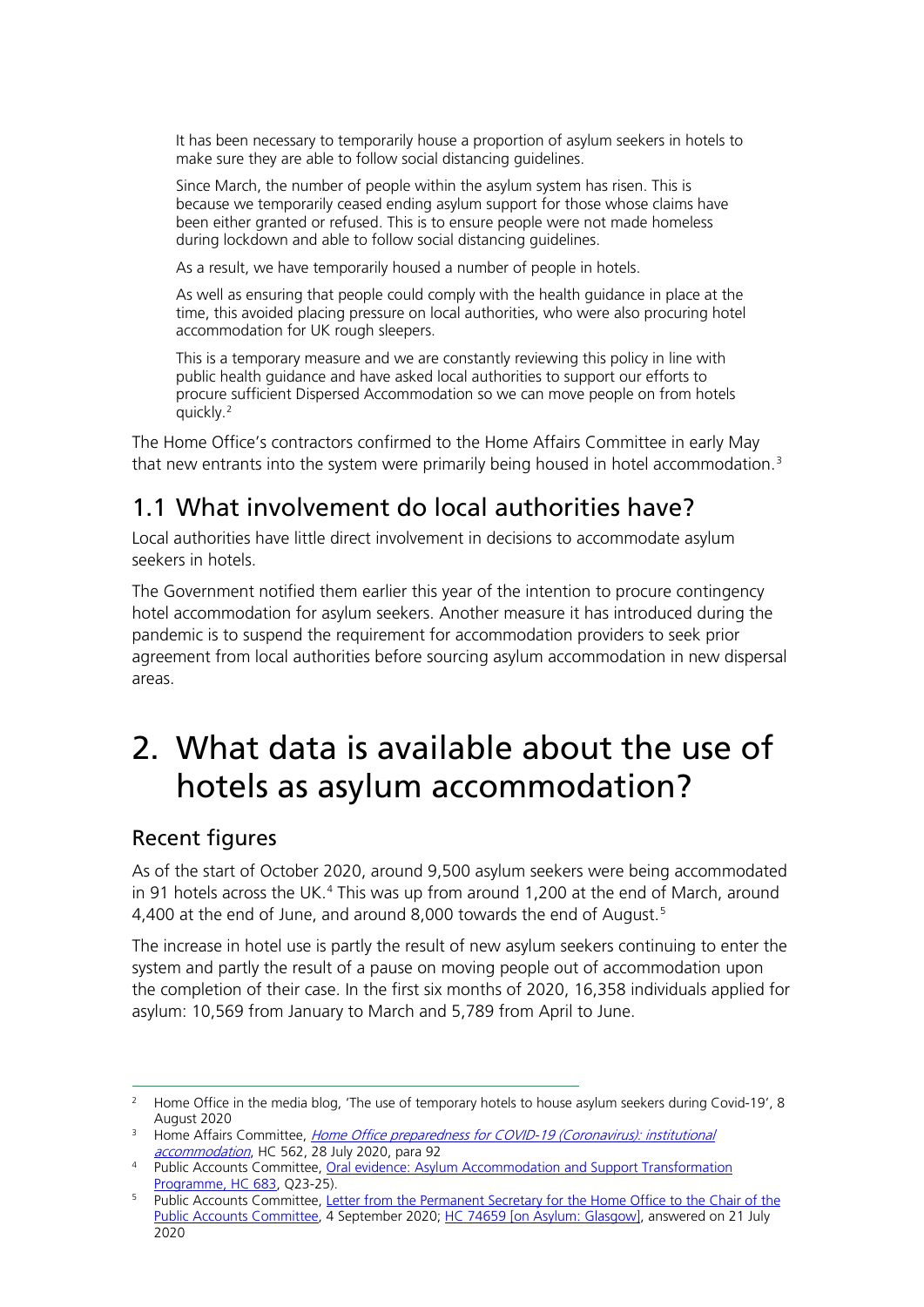It has been necessary to temporarily house a proportion of asylum seekers in hotels to make sure they are able to follow social distancing guidelines.

Since March, the number of people within the asylum system has risen. This is because we temporarily ceased ending asylum support for those whose claims have been either granted or refused. This is to ensure people were not made homeless during lockdown and able to follow social distancing guidelines.

As a result, we have temporarily housed a number of people in hotels.

As well as ensuring that people could comply with the health guidance in place at the time, this avoided placing pressure on local authorities, who were also procuring hotel accommodation for UK rough sleepers.

This is a temporary measure and we are constantly reviewing this policy in line with public health guidance and have asked local authorities to support our efforts to procure sufficient Dispersed Accommodation so we can move people on from hotels quickly.[2](#page-2-0)

The Home Office's contractors confirmed to the Home Affairs Committee in early May that new entrants into the system were primarily being housed in hotel accommodation.<sup>[3](#page-2-1)</sup>

### 1.1 What involvement do local authorities have?

Local authorities have little direct involvement in decisions to accommodate asylum seekers in hotels.

The Government notified them earlier this year of the intention to procure contingency hotel accommodation for asylum seekers. Another measure it has introduced during the pandemic is to suspend the requirement for accommodation providers to seek prior agreement from local authorities before sourcing asylum accommodation in new dispersal areas.

## 2. What data is available about the use of hotels as asylum accommodation?

#### Recent figures

As of the start of October 2020, around 9,500 asylum seekers were being accommodated in 91 hotels across the UK. $4$  This was up from around 1,200 at the end of March, around 4,400 at the end of June, and around 8,000 towards the end of August.<sup>[5](#page-2-3)</sup>

The increase in hotel use is partly the result of new asylum seekers continuing to enter the system and partly the result of a pause on moving people out of accommodation upon the completion of their case. In the first six months of 2020, 16,358 individuals applied for asylum: 10,569 from January to March and 5,789 from April to June.

<span id="page-2-0"></span><sup>&</sup>lt;sup>2</sup> Home Office in the media blog, 'The use of temporary hotels to house asylum seekers during Covid-19', 8 August 2020

<span id="page-2-1"></span><sup>&</sup>lt;sup>3</sup> Home Affairs Committee, *Home Office preparedness for COVID-19 (Coronavirus): institutional* [accommodation](https://committees.parliament.uk/publications/2171/documents/20132/default/), HC 562, 28 July 2020, para 92

<span id="page-2-2"></span><sup>4</sup> Public Accounts Committee, Oral evidence: Asylum Accommodation and Support Transformation [Programme, HC 683,](https://committees.parliament.uk/oralevidence/958/default/) Q23-25).

<span id="page-2-3"></span><sup>&</sup>lt;sup>5</sup> Public Accounts Committee, Letter from the Permanent Secretary for the Home Office to the Chair of the [Public Accounts Committee,](https://committees.parliament.uk/publications/2539/documents/25521/default/) 4 September 2020; HC [74659](https://www.parliament.uk/written-questions-answers-statements/written-question/commons/2020-07-15/74659) [on Asylum: Glasgow], answered on 21 July 2020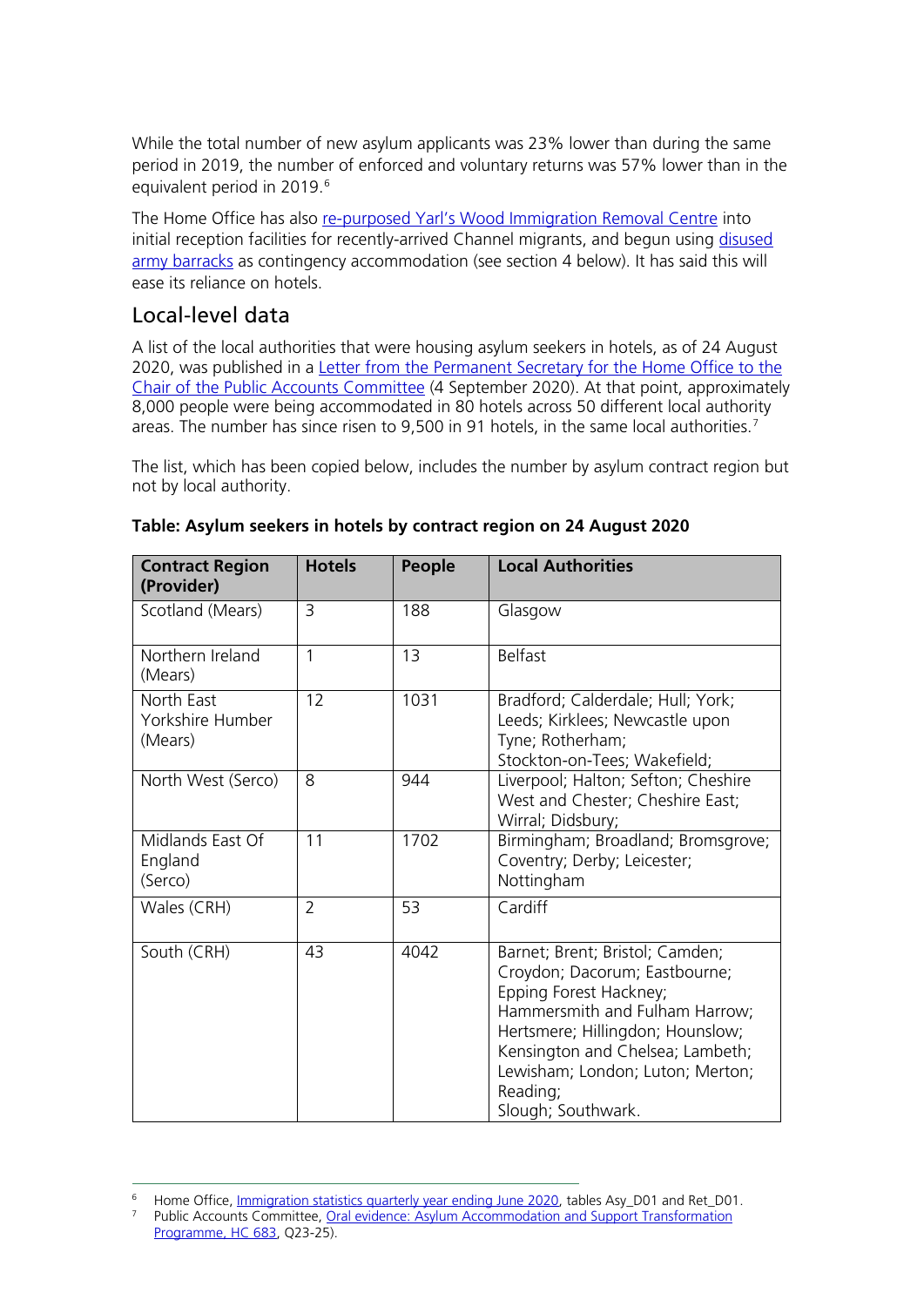While the total number of new asylum applicants was 23% lower than during the same period in 2019, the number of enforced and voluntary returns was 57% lower than in the equivalent period in 2019.<sup>[6](#page-3-0)</sup>

The Home Office has also [re-purposed Yarl's Wood Immigration Removal Centre](https://www.bbc.co.uk/news/uk-england-beds-bucks-herts-53810521?utm_source=HOC+Library+-+Current+awareness+bulletins&utm_campaign=d58b03ab5d-home_affairs_bulletin_20-08-2020&utm_medium=email&utm_term=0_f325cdbfdc-d58b03ab5d-103727674&mc_cid=d58b03ab5d&mc_eid=c9a13aab3c) into initial reception facilities for recently-arrived Channel migrants, and begun using disused [army barracks](https://www.bbc.co.uk/news/uk-england-kent-54246769) as contingency accommodation (see section 4 below). It has said this will ease its reliance on hotels.

### Local-level data

A list of the local authorities that were housing asylum seekers in hotels, as of 24 August 2020, was published in a [Letter from the Permanent Secretary for the Home Office to the](https://committees.parliament.uk/publications/2539/documents/25521/default/)  [Chair of the Public Accounts Committee](https://committees.parliament.uk/publications/2539/documents/25521/default/) (4 September 2020). At that point, approximately 8,000 people were being accommodated in 80 hotels across 50 different local authority areas. The number has since risen to 9,500 in 91 hotels, in the same local authorities.<sup>[7](#page-3-1)</sup>

The list, which has been copied below, includes the number by asylum contract region but not by local authority.

| <b>Contract Region</b><br>(Provider)      | <b>Hotels</b>  | People | <b>Local Authorities</b>                                                                                                                                                                                                                                                   |
|-------------------------------------------|----------------|--------|----------------------------------------------------------------------------------------------------------------------------------------------------------------------------------------------------------------------------------------------------------------------------|
| Scotland (Mears)                          | $\overline{3}$ | 188    | Glasgow                                                                                                                                                                                                                                                                    |
| Northern Ireland<br>(Mears)               | $\mathbf{1}$   | 13     | <b>Belfast</b>                                                                                                                                                                                                                                                             |
| North East<br>Yorkshire Humber<br>(Mears) | 12             | 1031   | Bradford; Calderdale; Hull; York;<br>Leeds; Kirklees; Newcastle upon<br>Tyne; Rotherham;<br>Stockton-on-Tees; Wakefield;                                                                                                                                                   |
| North West (Serco)                        | 8              | 944    | Liverpool; Halton; Sefton; Cheshire<br>West and Chester; Cheshire East;<br>Wirral; Didsbury;                                                                                                                                                                               |
| Midlands East Of<br>England<br>(Serco)    | 11             | 1702   | Birmingham; Broadland; Bromsgrove;<br>Coventry; Derby; Leicester;<br>Nottingham                                                                                                                                                                                            |
| Wales (CRH)                               | $\overline{2}$ | 53     | Cardiff                                                                                                                                                                                                                                                                    |
| South (CRH)                               | 43             | 4042   | Barnet; Brent; Bristol; Camden;<br>Croydon; Dacorum; Eastbourne;<br>Epping Forest Hackney;<br>Hammersmith and Fulham Harrow;<br>Hertsmere; Hillingdon; Hounslow;<br>Kensington and Chelsea; Lambeth;<br>Lewisham; London; Luton; Merton;<br>Reading;<br>Slough; Southwark. |

#### **Table: Asylum seekers in hotels by contract region on 24 August 2020**

<span id="page-3-0"></span><sup>&</sup>lt;sup>6</sup> Home Office, <u>Immigration statistics quarterly year ending June 2020</u>, tables Asy\_D01 and Ret\_D01.

<span id="page-3-1"></span><sup>7</sup> Public Accounts Committee, [Oral evidence: Asylum Accommodation and Support Transformation](https://committees.parliament.uk/oralevidence/958/default/)  [Programme, HC 683,](https://committees.parliament.uk/oralevidence/958/default/) Q23-25).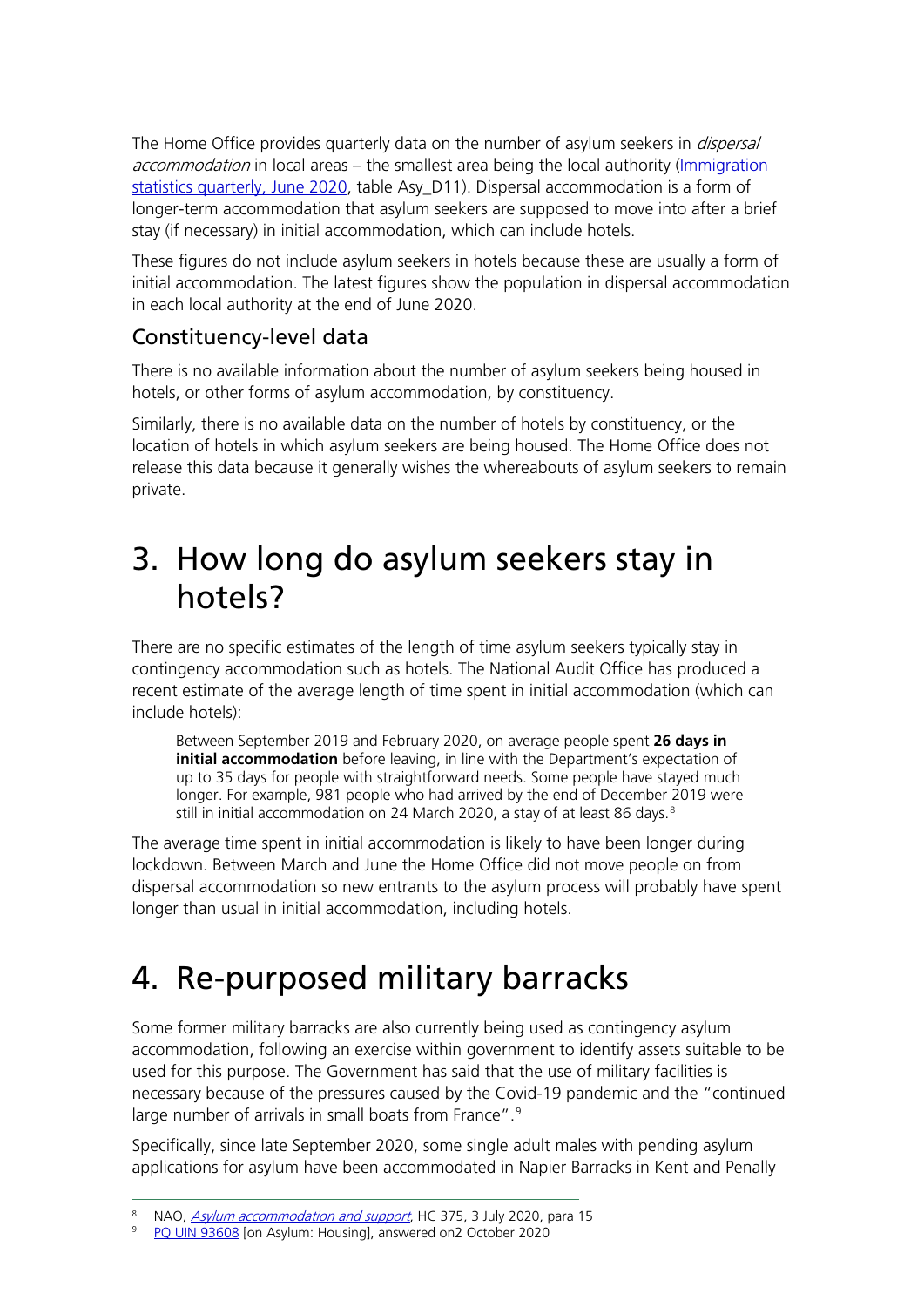The Home Office provides quarterly data on the number of asylum seekers in *dispersal* accommodation in local areas – the smallest area being the local authority (Immigration [statistics quarterly, June](https://www.gov.uk/government/publications/immigration-statistics-year-ending-june-2020/list-of-tables#asylum-and-resettlement) 2020, table Asy\_D11). Dispersal accommodation is a form of longer-term accommodation that asylum seekers are supposed to move into after a brief stay (if necessary) in initial accommodation, which can include hotels.

These figures do not include asylum seekers in hotels because these are usually a form of initial accommodation. The latest figures show the population in dispersal accommodation in each local authority at the end of June 2020.

### Constituency-level data

There is no available information about the number of asylum seekers being housed in hotels, or other forms of asylum accommodation, by constituency.

Similarly, there is no available data on the number of hotels by constituency, or the location of hotels in which asylum seekers are being housed. The Home Office does not release this data because it generally wishes the whereabouts of asylum seekers to remain private.

### 3. How long do asylum seekers stay in hotels?

There are no specific estimates of the length of time asylum seekers typically stay in contingency accommodation such as hotels. The National Audit Office has produced a recent estimate of the average length of time spent in initial accommodation (which can include hotels):

Between September 2019 and February 2020, on average people spent **26 days in initial accommodation** before leaving, in line with the Department's expectation of up to 35 days for people with straightforward needs. Some people have stayed much longer. For example, 981 people who had arrived by the end of December 2019 were still in initial accommodation on 24 March 2020, a stay of at least [8](#page-4-0)6 days.<sup>8</sup>

The average time spent in initial accommodation is likely to have been longer during lockdown. Between March and June the Home Office did not move people on from dispersal accommodation so new entrants to the asylum process will probably have spent longer than usual in initial accommodation, including hotels.

# 4. Re-purposed military barracks

Some former military barracks are also currently being used as contingency asylum accommodation, following an exercise within government to identify assets suitable to be used for this purpose. The Government has said that the use of military facilities is necessary because of the pressures caused by the Covid-19 pandemic and the "continued large number of arrivals in small boats from France".<sup>[9](#page-4-1)</sup>

Specifically, since late September 2020, some single adult males with pending asylum applications for asylum have been accommodated in Napier Barracks in Kent and Penally

<span id="page-4-1"></span><span id="page-4-0"></span><sup>&</sup>lt;sup>8</sup> NAO, *[Asylum accommodation](https://www.nao.org.uk/report/asylum-accommodation-and-support/) and support*, HC 375, 3 July 2020, para 15

<sup>9</sup> [PQ UIN 93608](https://questions-statements.parliament.uk/written-questions/detail/2020-09-22/93608) [on Asylum: Housing], answered on2 October 2020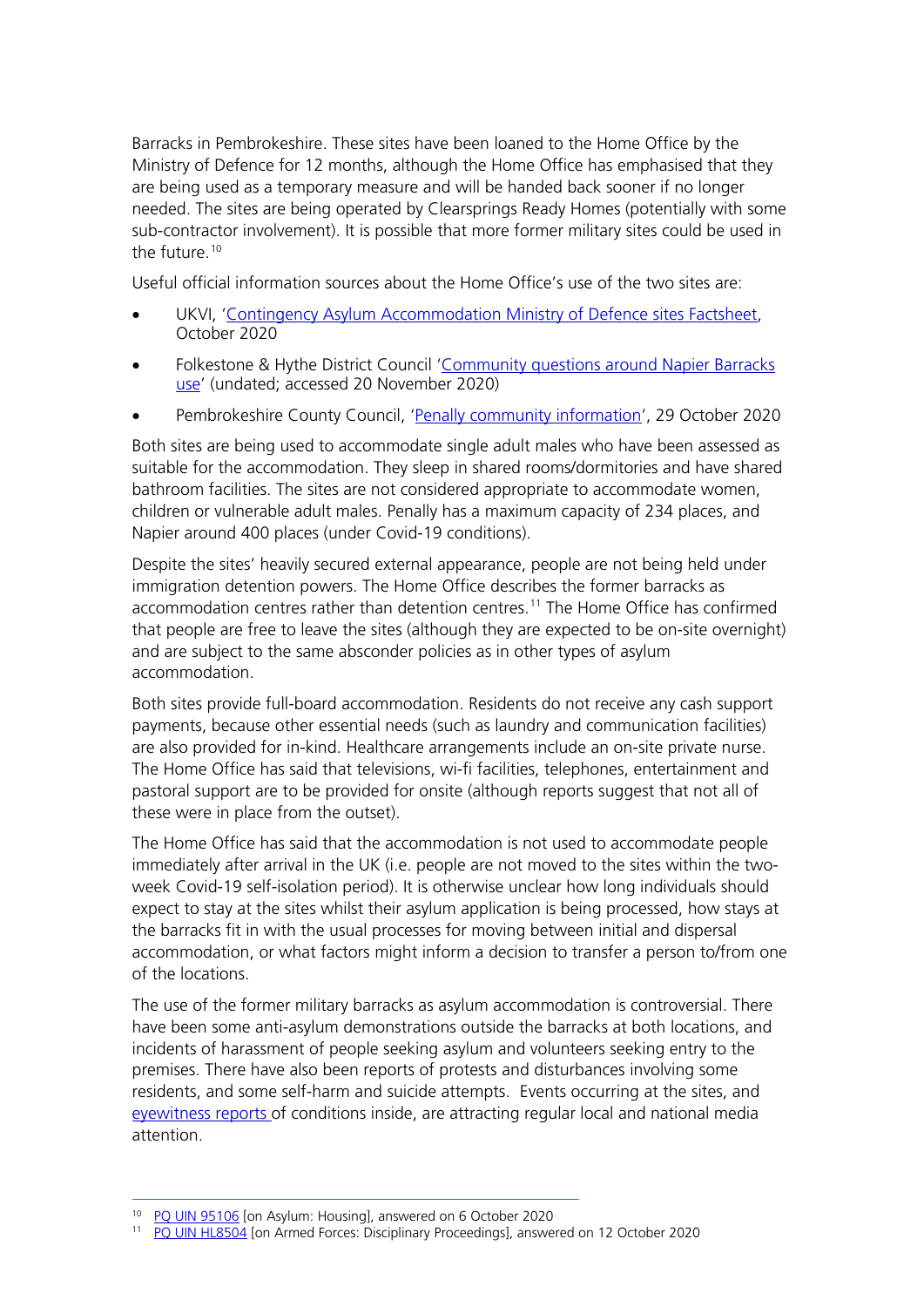Barracks in Pembrokeshire. These sites have been loaned to the Home Office by the Ministry of Defence for 12 months, although the Home Office has emphasised that they are being used as a temporary measure and will be handed back sooner if no longer needed. The sites are being operated by Clearsprings Ready Homes (potentially with some sub-contractor involvement). It is possible that more former military sites could be used in the future.<sup>[10](#page-5-0)</sup>

Useful official information sources about the Home Office's use of the two sites are:

- UKVI, ['Contingency Asylum Accommodation Ministry of Defence sites Factsheet,](https://www.folkestone-hythe.gov.uk/media/3000/Contingency-Asylum-Accommodation-Ministry-of-Defence-Sites-Factsheet/pdf/Contingency_Asylum_Accommodation_Ministry_of_Defence_Sites_Factsheet.pdf?m=637381172008830000) October 2020
- Folkestone & Hythe District Council ['Community questions around Napier Barracks](https://www.folkestone-hythe.gov.uk/article/1505/Community-questions-around-Napier-Barracks-use)  [use'](https://www.folkestone-hythe.gov.uk/article/1505/Community-questions-around-Napier-Barracks-use) (undated; accessed 20 November 2020)
- Pembrokeshire County Council, ['Penally community information'](https://www.pembrokeshire.gov.uk/penally-community-information), 29 October 2020

Both sites are being used to accommodate single adult males who have been assessed as suitable for the accommodation. They sleep in shared rooms/dormitories and have shared bathroom facilities. The sites are not considered appropriate to accommodate women, children or vulnerable adult males. Penally has a maximum capacity of 234 places, and Napier around 400 places (under Covid-19 conditions).

Despite the sites' heavily secured external appearance, people are not being held under immigration detention powers. The Home Office describes the former barracks as accommodation centres rather than detention centres.<sup>[11](#page-5-1)</sup> The Home Office has confirmed that people are free to leave the sites (although they are expected to be on-site overnight) and are subject to the same absconder policies as in other types of asylum accommodation.

Both sites provide full-board accommodation. Residents do not receive any cash support payments, because other essential needs (such as laundry and communication facilities) are also provided for in-kind. Healthcare arrangements include an on-site private nurse. The Home Office has said that televisions, wi-fi facilities, telephones, entertainment and pastoral support are to be provided for onsite (although reports suggest that not all of these were in place from the outset).

The Home Office has said that the accommodation is not used to accommodate people immediately after arrival in the UK (i.e. people are not moved to the sites within the twoweek Covid-19 self-isolation period). It is otherwise unclear how long individuals should expect to stay at the sites whilst their asylum application is being processed, how stays at the barracks fit in with the usual processes for moving between initial and dispersal accommodation, or what factors might inform a decision to transfer a person to/from one of the locations.

The use of the former military barracks as asylum accommodation is controversial. There have been some anti-asylum demonstrations outside the barracks at both locations, and incidents of harassment of people seeking asylum and volunteers seeking entry to the premises. There have also been reports of protests and disturbances involving some residents, and some self-harm and suicide attempts. Events occurring at the sites, and [eyewitness reports o](https://www.kentlive.news/news/kent-news/inside-napier-barracks-refugee-lifts-4618126)f conditions inside, are attracting regular local and national media attention.

<sup>10</sup> [PQ UIN 95106](https://questions-statements.parliament.uk/written-questions/detail/2020-09-24/95106) [on Asylum: Housing], answered on 6 October 2020

<span id="page-5-1"></span><span id="page-5-0"></span><sup>&</sup>lt;sup>11</sup> [PQ UIN HL8504](https://questions-statements.parliament.uk/written-questions/detail/2020-09-28/HL8504) [on Armed Forces: Disciplinary Proceedings], answered on 12 October 2020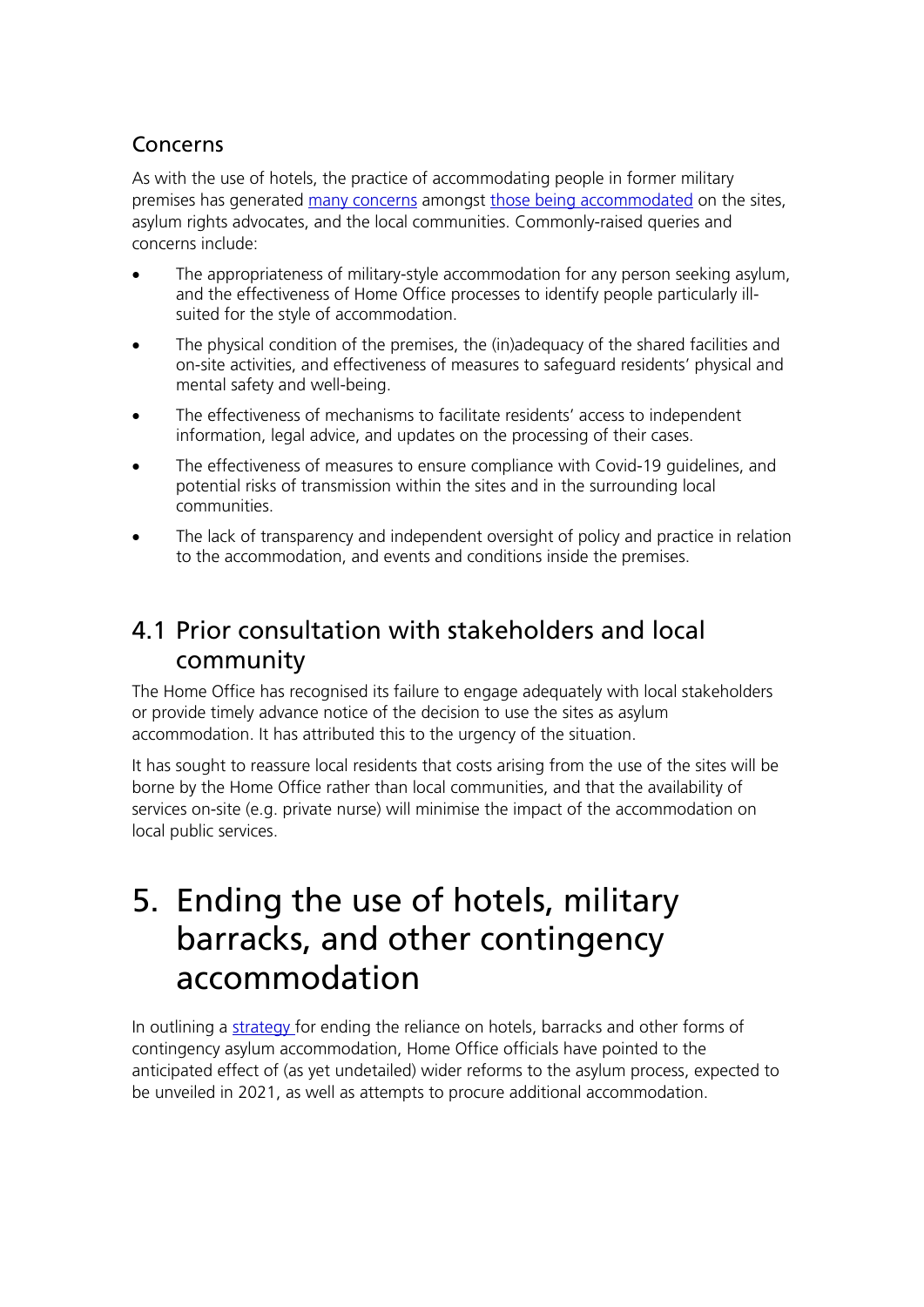### Concerns

As with the use of hotels, the practice of accommodating people in former military premises has generated [many concerns](https://www.theguardian.com/uk-news/2020/oct/11/revealed-the-squalor-inside-ex-mod-camps-being-used-to-house-refugees) amongst [those being accommodated](https://www.walesonline.co.uk/news/wales-news/unacceptable-conditions-inside-dilapidated-army-19261601) on the sites, asylum rights advocates, and the local communities. Commonly-raised queries and concerns include:

- The appropriateness of military-style accommodation for any person seeking asylum, and the effectiveness of Home Office processes to identify people particularly illsuited for the style of accommodation.
- The physical condition of the premises, the (in)adequacy of the shared facilities and on-site activities, and effectiveness of measures to safeguard residents' physical and mental safety and well-being.
- The effectiveness of mechanisms to facilitate residents' access to independent information, legal advice, and updates on the processing of their cases.
- The effectiveness of measures to ensure compliance with Covid-19 guidelines, and potential risks of transmission within the sites and in the surrounding local communities.
- The lack of transparency and independent oversight of policy and practice in relation to the accommodation, and events and conditions inside the premises.

### 4.1 Prior consultation with stakeholders and local community

The Home Office has recognised its failure to engage adequately with local stakeholders or provide timely advance notice of the decision to use the sites as asylum accommodation. It has attributed this to the urgency of the situation.

It has sought to reassure local residents that costs arising from the use of the sites will be borne by the Home Office rather than local communities, and that the availability of services on-site (e.g. private nurse) will minimise the impact of the accommodation on local public services.

### 5. Ending the use of hotels, military barracks, and other contingency accommodation

In outlining a [strategy f](https://committees.parliament.uk/oralevidence/958/default/#page=32)or ending the reliance on hotels, barracks and other forms of contingency asylum accommodation, Home Office officials have pointed to the anticipated effect of (as yet undetailed) wider reforms to the asylum process, expected to be unveiled in 2021, as well as attempts to procure additional accommodation.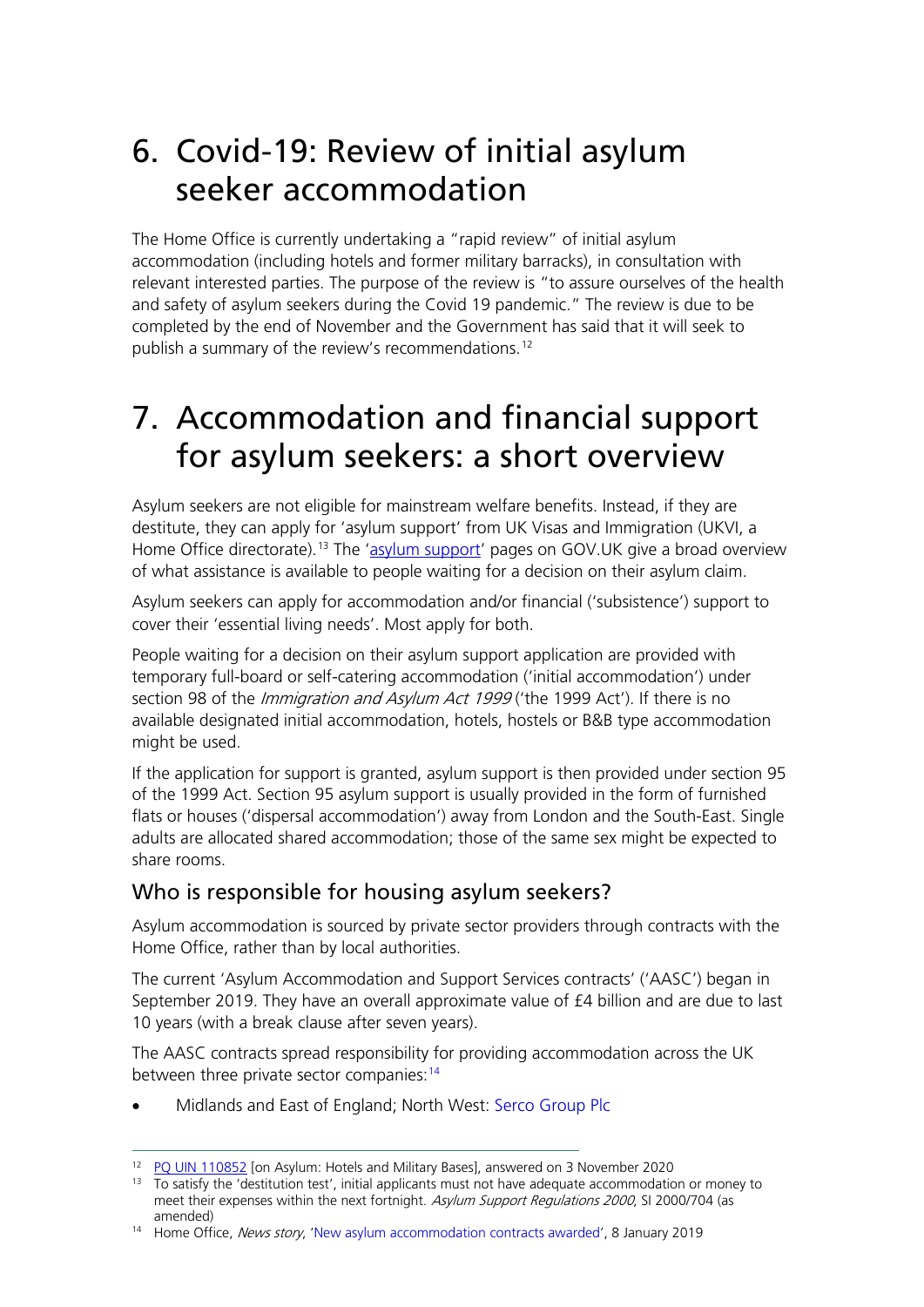### 6. Covid-19: Review of initial asylum seeker accommodation

The Home Office is currently undertaking a "rapid review" of initial asylum accommodation (including hotels and former military barracks), in consultation with relevant interested parties. The purpose of the review is "to assure ourselves of the health and safety of asylum seekers during the Covid 19 pandemic." The review is due to be completed by the end of November and the Government has said that it will seek to publish a summary of the review's recommendations.<sup>[12](#page-7-0)</sup>

### 7. Accommodation and financial support for asylum seekers: a short overview

Asylum seekers are not eligible for mainstream welfare benefits. Instead, if they are destitute, they can apply for 'asylum support' from UK Visas and Immigration (UKVI, a Home Office directorate).<sup>[13](#page-7-1)</sup> The ['asylum support'](https://www.gov.uk/asylum-support) pages on GOV.UK give a broad overview of what assistance is available to people waiting for a decision on their asylum claim.

Asylum seekers can apply for accommodation and/or financial ('subsistence') support to cover their 'essential living needs'. Most apply for both.

People waiting for a decision on their asylum support application are provided with temporary full-board or self-catering accommodation ('initial accommodation') under section 98 of the *Immigration and Asylum Act 1999* ('the 1999 Act'). If there is no available designated initial accommodation, hotels, hostels or B&B type accommodation might be used.

If the application for support is granted, asylum support is then provided under section 95 of the 1999 Act. Section 95 asylum support is usually provided in the form of furnished flats or houses ('dispersal accommodation') away from London and the South-East. Single adults are allocated shared accommodation; those of the same sex might be expected to share rooms.

### Who is responsible for housing asylum seekers?

Asylum accommodation is sourced by private sector providers through contracts with the Home Office, rather than by local authorities.

The current 'Asylum Accommodation and Support Services contracts' ('AASC') began in September 2019. They have an overall approximate value of £4 billion and are due to last 10 years (with a break clause after seven years).

The AASC contracts spread responsibility for providing accommodation across the UK between three private sector companies:<sup>[14](#page-7-2)</sup>

• Midlands and East of England; North West: Serco Group Plc

<span id="page-7-0"></span><sup>12</sup> [PQ UIN 110852](https://questions-statements.parliament.uk/written-questions/detail/2020-11-03/110852) [on Asylum: Hotels and Military Bases], answered on 3 November 2020

<span id="page-7-1"></span><sup>&</sup>lt;sup>13</sup> To satisfy the 'destitution test', initial applicants must not have adequate accommodation or money to meet their expenses within the next fortnight. Asylum Support Regulations 2000, SI 2000/704 (as amended)

<span id="page-7-2"></span><sup>&</sup>lt;sup>14</sup> Home Office, News story, 'New asylum accommodation contracts awarded', 8 January 2019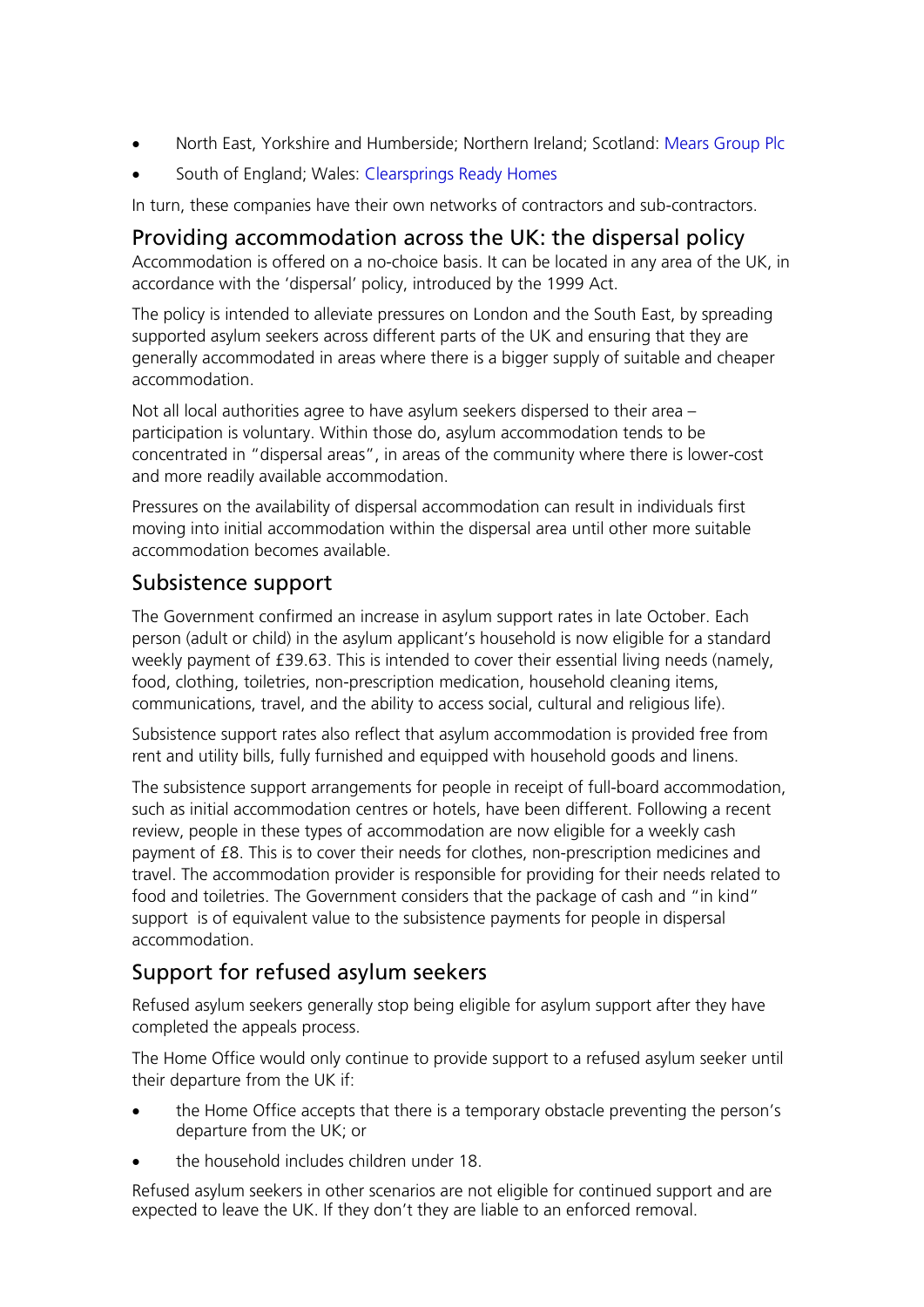- North East, Yorkshire and Humberside; Northern Ireland; Scotland: Mears Group Plc
- South of England; Wales: Clearsprings Ready Homes

In turn, these companies have their own networks of contractors and sub-contractors.

#### Providing accommodation across the UK: the dispersal policy

Accommodation is offered on a no-choice basis. It can be located in any area of the UK, in accordance with the 'dispersal' policy, introduced by the 1999 Act.

The policy is intended to alleviate pressures on London and the South East, by spreading supported asylum seekers across different parts of the UK and ensuring that they are generally accommodated in areas where there is a bigger supply of suitable and cheaper accommodation.

Not all local authorities agree to have asylum seekers dispersed to their area – participation is voluntary. Within those do, asylum accommodation tends to be concentrated in "dispersal areas", in areas of the community where there is lower-cost and more readily available accommodation.

Pressures on the availability of dispersal accommodation can result in individuals first moving into initial accommodation within the dispersal area until other more suitable accommodation becomes available.

### Subsistence support

The Government confirmed an increase in asylum support rates in late October. Each person (adult or child) in the asylum applicant's household is now eligible for a standard weekly payment of £39.63. This is intended to cover their essential living needs (namely, food, clothing, toiletries, non-prescription medication, household cleaning items, communications, travel, and the ability to access social, cultural and religious life).

Subsistence support rates also reflect that asylum accommodation is provided free from rent and utility bills, fully furnished and equipped with household goods and linens.

The subsistence support arrangements for people in receipt of full-board accommodation, such as initial accommodation centres or hotels, have been different. Following a recent review, people in these types of accommodation are now eligible for a weekly cash payment of £8. This is to cover their needs for clothes, non-prescription medicines and travel. The accommodation provider is responsible for providing for their needs related to food and toiletries. The Government considers that the package of cash and "in kind" support is of equivalent value to the subsistence payments for people in dispersal accommodation.

### Support for refused asylum seekers

Refused asylum seekers generally stop being eligible for asylum support after they have completed the appeals process.

The Home Office would only continue to provide support to a refused asylum seeker until their departure from the UK if:

- the Home Office accepts that there is a temporary obstacle preventing the person's departure from the UK; or
- the household includes children under 18.

Refused asylum seekers in other scenarios are not eligible for continued support and are expected to leave the UK. If they don't they are liable to an enforced removal.